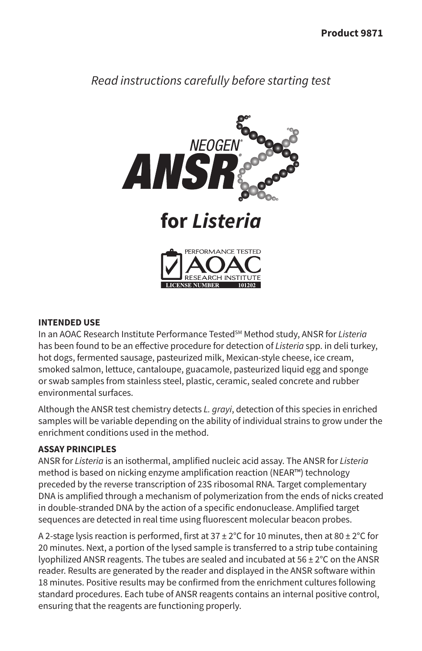# *Read instructions carefully before starting test*



### **INTENDED USE**

In an AOAC Research Institute Performance TestedSM Method study, ANSR for *Listeria* has been found to be an effective procedure for detection of *Listeria* spp. in deli turkey, hot dogs, fermented sausage, pasteurized milk, Mexican-style cheese, ice cream, smoked salmon, lettuce, cantaloupe, guacamole, pasteurized liquid egg and sponge or swab samples from stainless steel, plastic, ceramic, sealed concrete and rubber environmental surfaces.

Although the ANSR test chemistry detects *L. grayi*, detection of this species in enriched samples will be variable depending on the ability of individual strains to grow under the enrichment conditions used in the method.

### **ASSAY PRINCIPLES**

ANSR for *Listeria* is an isothermal, amplified nucleic acid assay. The ANSR for *Listeria* method is based on nicking enzyme amplification reaction (NEAR™) technology preceded by the reverse transcription of 23S ribosomal RNA. Target complementary DNA is amplified through a mechanism of polymerization from the ends of nicks created in double-stranded DNA by the action of a specific endonuclease. Amplified target sequences are detected in real time using fluorescent molecular beacon probes.

A 2-stage lysis reaction is performed, first at  $37 \pm 2^{\circ}$ C for 10 minutes, then at  $80 \pm 2^{\circ}$ C for 20 minutes. Next, a portion of the lysed sample is transferred to a strip tube containing lyophilized ANSR reagents. The tubes are sealed and incubated at  $56 \pm 2^{\circ}$ C on the ANSR reader. Results are generated by the reader and displayed in the ANSR software within 18 minutes. Positive results may be confirmed from the enrichment cultures following standard procedures. Each tube of ANSR reagents contains an internal positive control, ensuring that the reagents are functioning properly.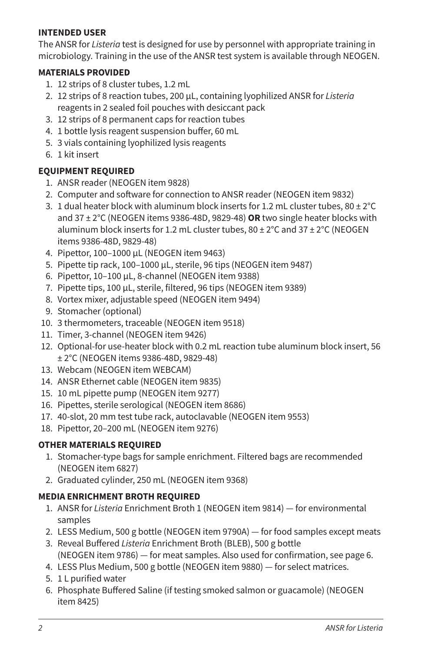### **INTENDED USER**

The ANSR for *Listeria* test is designed for use by personnel with appropriate training in microbiology. Training in the use of the ANSR test system is available through NEOGEN.

### **MATERIALS PROVIDED**

- 1. 12 strips of 8 cluster tubes, 1.2 mL
- 2. 12 strips of 8 reaction tubes, 200 µL, containing lyophilized ANSR for *Listeria* reagents in 2 sealed foil pouches with desiccant pack
- 3. 12 strips of 8 permanent caps for reaction tubes
- 4. 1 bottle lysis reagent suspension buffer, 60 mL
- 5. 3 vials containing lyophilized lysis reagents
- 6. 1 kit insert

# **EQUIPMENT REQUIRED**

- 1. ANSR reader (NEOGEN item 9828)
- 2. Computer and software for connection to ANSR reader (NEOGEN item 9832)
- 3. 1 dual heater block with aluminum block inserts for 1.2 mL cluster tubes,  $80 \pm 2^{\circ}$ C and 37 ± 2°C (NEOGEN items 9386-48D, 9829-48) **OR** two single heater blocks with aluminum block inserts for 1.2 mL cluster tubes,  $80 \pm 2^{\circ}$ C and 37  $\pm$  2 $^{\circ}$ C (NEOGEN items 9386-48D, 9829-48)
- 4. Pipettor, 100–1000 µL (NEOGEN item 9463)
- 5. Pipette tip rack, 100–1000 µL, sterile, 96 tips (NEOGEN item 9487)
- 6. Pipettor, 10–100 µL, 8-channel (NEOGEN item 9388)
- 7. Pipette tips, 100 µL, sterile, filtered, 96 tips (NEOGEN item 9389)
- 8. Vortex mixer, adjustable speed (NEOGEN item 9494)
- 9. Stomacher (optional)
- 10. 3 thermometers, traceable (NEOGEN item 9518)
- 11. Timer, 3-channel (NEOGEN item 9426)
- 12. Optional-for use-heater block with 0.2 mL reaction tube aluminum block insert, 56 ± 2°C (NEOGEN items 9386-48D, 9829-48)
- 13. Webcam (NEOGEN item WEBCAM)
- 14. ANSR Ethernet cable (NEOGEN item 9835)
- 15. 10 mL pipette pump (NEOGEN item 9277)
- 16. Pipettes, sterile serological (NEOGEN item 8686)
- 17. 40-slot, 20 mm test tube rack, autoclavable (NEOGEN item 9553)
- 18. Pipettor, 20–200 mL (NEOGEN item 9276)

# **OTHER MATERIALS REQUIRED**

- 1. Stomacher-type bags for sample enrichment. Filtered bags are recommended (NEOGEN item 6827)
- 2. Graduated cylinder, 250 mL (NEOGEN item 9368)

# **MEDIA ENRICHMENT BROTH REQUIRED**

- 1. ANSR for *Listeria* Enrichment Broth 1 (NEOGEN item 9814) for environmental samples
- 2. LESS Medium, 500 g bottle (NEOGEN item 9790A) for food samples except meats
- 3. Reveal Buffered *Listeria* Enrichment Broth (BLEB), 500 g bottle (NEOGEN item 9786) — for meat samples. Also used for confirmation, see page 6.
- 4. LESS Plus Medium, 500 g bottle (NEOGEN item 9880) for select matrices.
- 5. 1 L purified water
- 6. Phosphate Buffered Saline (if testing smoked salmon or guacamole) (NEOGEN item 8425)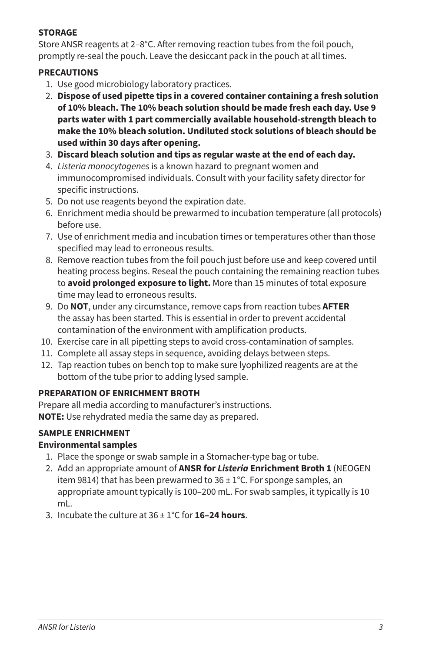### **STORAGE**

Store ANSR reagents at 2–8°C. After removing reaction tubes from the foil pouch, promptly re-seal the pouch. Leave the desiccant pack in the pouch at all times.

### **PRECAUTIONS**

- 1. Use good microbiology laboratory practices.
- 2. **Dispose of used pipette tips in a covered container containing a fresh solution of 10% bleach. The 10% beach solution should be made fresh each day. Use 9 parts water with 1 part commercially available household-strength bleach to make the 10% bleach solution. Undiluted stock solutions of bleach should be used within 30 days after opening.**
- 3. **Discard bleach solution and tips as regular waste at the end of each day.**
- 4. *Listeria monocytogenes* is a known hazard to pregnant women and immunocompromised individuals. Consult with your facility safety director for specific instructions.
- 5. Do not use reagents beyond the expiration date.
- 6. Enrichment media should be prewarmed to incubation temperature (all protocols) before use.
- 7. Use of enrichment media and incubation times or temperatures other than those specified may lead to erroneous results.
- 8. Remove reaction tubes from the foil pouch just before use and keep covered until heating process begins. Reseal the pouch containing the remaining reaction tubes to **avoid prolonged exposure to light.** More than 15 minutes of total exposure time may lead to erroneous results.
- 9. Do **NOT**, under any circumstance, remove caps from reaction tubes **AFTER** the assay has been started. This is essential in order to prevent accidental contamination of the environment with amplification products.
- 10. Exercise care in all pipetting steps to avoid cross-contamination of samples.
- 11. Complete all assay steps in sequence, avoiding delays between steps.
- 12. Tap reaction tubes on bench top to make sure lyophilized reagents are at the bottom of the tube prior to adding lysed sample.

# **PREPARATION OF ENRICHMENT BROTH**

Prepare all media according to manufacturer's instructions. **NOTE:** Use rehydrated media the same day as prepared.

# **SAMPLE ENRICHMENT**

# **Environmental samples**

- 1. Place the sponge or swab sample in a Stomacher-type bag or tube.
- 2. Add an appropriate amount of **ANSR for** *Listeria* **Enrichment Broth 1** (NEOGEN item 9814) that has been prewarmed to  $36 \pm 1^{\circ}$ C. For sponge samples, an appropriate amount typically is 100–200 mL. For swab samples, it typically is 10 mL.
- 3. Incubate the culture at 36 ± 1°C for **16–24 hours**.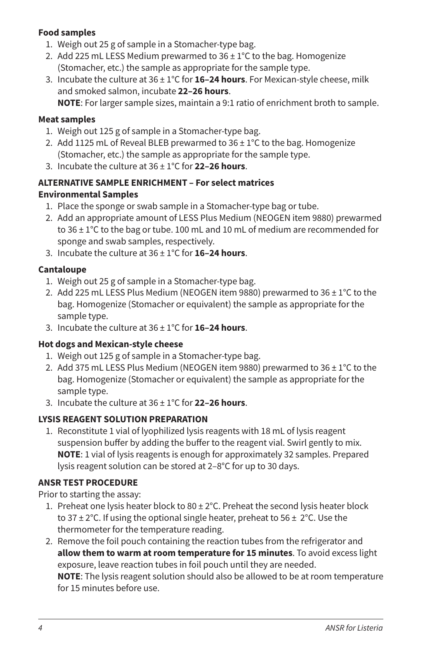# **Food samples**

- 1. Weigh out 25 g of sample in a Stomacher-type bag.
- 2. Add 225 mL LESS Medium prewarmed to  $36 \pm 1^{\circ}$ C to the bag. Homogenize (Stomacher, etc.) the sample as appropriate for the sample type.
- 3. Incubate the culture at 36 ± 1°C for **16–24 hours**. For Mexican-style cheese, milk and smoked salmon, incubate **22–26 hours**.

**NOTE**: For larger sample sizes, maintain a 9:1 ratio of enrichment broth to sample.

### **Meat samples**

- 1. Weigh out 125 g of sample in a Stomacher-type bag.
- 2. Add 1125 mL of Reveal BLEB prewarmed to  $36 \pm 1^{\circ}$ C to the bag. Homogenize (Stomacher, etc.) the sample as appropriate for the sample type.
- 3. Incubate the culture at 36 ± 1°C for **22–26 hours**.

# **ALTERNATIVE SAMPLE ENRICHMENT – For select matrices**

# **Environmental Samples**

- 1. Place the sponge or swab sample in a Stomacher-type bag or tube.
- 2. Add an appropriate amount of LESS Plus Medium (NEOGEN item 9880) prewarmed to  $36 \pm 1^{\circ}$ C to the bag or tube. 100 mL and 10 mL of medium are recommended for sponge and swab samples, respectively.
- 3. Incubate the culture at 36 ± 1°C for **16–24 hours**.

# **Cantaloupe**

- 1. Weigh out 25 g of sample in a Stomacher-type bag.
- 2. Add 225 mL LESS Plus Medium (NEOGEN item 9880) prewarmed to  $36 \pm 1^{\circ}$ C to the bag. Homogenize (Stomacher or equivalent) the sample as appropriate for the sample type.
- 3. Incubate the culture at 36 ± 1°C for **16–24 hours**.

# **Hot dogs and Mexican-style cheese**

- 1. Weigh out 125 g of sample in a Stomacher-type bag.
- 2. Add 375 mL LESS Plus Medium (NEOGEN item 9880) prewarmed to  $36 \pm 1^{\circ}$ C to the bag. Homogenize (Stomacher or equivalent) the sample as appropriate for the sample type.
- 3. Incubate the culture at 36 ± 1°C for **22–26 hours**.

# **LYSIS REAGENT SOLUTION PREPARATION**

1. Reconstitute 1 vial of lyophilized lysis reagents with 18 mL of lysis reagent suspension buffer by adding the buffer to the reagent vial. Swirl gently to mix. **NOTE**: 1 vial of lysis reagents is enough for approximately 32 samples. Prepared lysis reagent solution can be stored at 2–8°C for up to 30 days.

# **ANSR TEST PROCEDURE**

Prior to starting the assay:

- 1. Preheat one lysis heater block to  $80 \pm 2^{\circ}$ C. Preheat the second lysis heater block to 37  $\pm$  2°C. If using the optional single heater, preheat to 56  $\pm$  2°C. Use the thermometer for the temperature reading.
- 2. Remove the foil pouch containing the reaction tubes from the refrigerator and **allow them to warm at room temperature for 15 minutes**. To avoid excess light exposure, leave reaction tubes in foil pouch until they are needed. **NOTE**: The lysis reagent solution should also be allowed to be at room temperature for 15 minutes before use.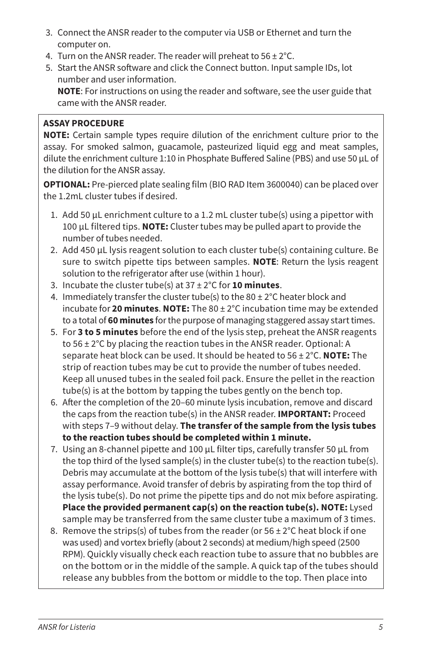- 3. Connect the ANSR reader to the computer via USB or Ethernet and turn the computer on.
- 4. Turn on the ANSR reader. The reader will preheat to  $56 \pm 2^{\circ}$ C.
- 5. Start the ANSR software and click the Connect button. Input sample IDs, lot number and user information. **NOTE**: For instructions on using the reader and software, see the user guide that

came with the ANSR reader.

# **ASSAY PROCEDURE**

**NOTE:** Certain sample types require dilution of the enrichment culture prior to the assay. For smoked salmon, guacamole, pasteurized liquid egg and meat samples, dilute the enrichment culture 1:10 in Phosphate Buffered Saline (PBS) and use 50 µL of the dilution for the ANSR assay.

**OPTIONAL:** Pre-pierced plate sealing film (BIO RAD Item 3600040) can be placed over the 1.2mL cluster tubes if desired.

- 1. Add 50 µL enrichment culture to a 1.2 mL cluster tube(s) using a pipettor with 100 µL filtered tips. **NOTE:** Cluster tubes may be pulled apart to provide the number of tubes needed.
- 2. Add 450 µL lysis reagent solution to each cluster tube(s) containing culture. Be sure to switch pipette tips between samples. **NOTE**: Return the lysis reagent solution to the refrigerator after use (within 1 hour).
- 3. Incubate the cluster tube(s) at 37 ± 2°C for **10 minutes**.
- 4. Immediately transfer the cluster tube(s) to the  $80 \pm 2^{\circ}$ C heater block and incubate for **20 minutes**. **NOTE:** The 80 ± 2°C incubation time may be extended to a total of **60 minutes** for the purpose of managing staggered assay start times.
- 5. For **3 to 5 minutes** before the end of the lysis step, preheat the ANSR reagents to 56 ± 2°C by placing the reaction tubes in the ANSR reader. Optional: A separate heat block can be used. It should be heated to 56 ± 2°C. **NOTE:** The strip of reaction tubes may be cut to provide the number of tubes needed. Keep all unused tubes in the sealed foil pack. Ensure the pellet in the reaction tube(s) is at the bottom by tapping the tubes gently on the bench top.
- 6. After the completion of the 20–60 minute lysis incubation, remove and discard the caps from the reaction tube(s) in the ANSR reader. **IMPORTANT:** Proceed with steps 7–9 without delay. **The transfer of the sample from the lysis tubes to the reaction tubes should be completed within 1 minute.**
- 7. Using an 8-channel pipette and 100 µL filter tips, carefully transfer 50 µL from the top third of the lysed sample(s) in the cluster tube(s) to the reaction tube(s). Debris may accumulate at the bottom of the lysis tube(s) that will interfere with assay performance. Avoid transfer of debris by aspirating from the top third of the lysis tube(s). Do not prime the pipette tips and do not mix before aspirating. **Place the provided permanent cap(s) on the reaction tube(s). NOTE:** Lysed sample may be transferred from the same cluster tube a maximum of 3 times.
- 8. Remove the strips(s) of tubes from the reader (or  $56 \pm 2^{\circ}$ C heat block if one was used) and vortex briefly (about 2 seconds) at medium/high speed (2500 RPM). Quickly visually check each reaction tube to assure that no bubbles are on the bottom or in the middle of the sample. A quick tap of the tubes should release any bubbles from the bottom or middle to the top. Then place into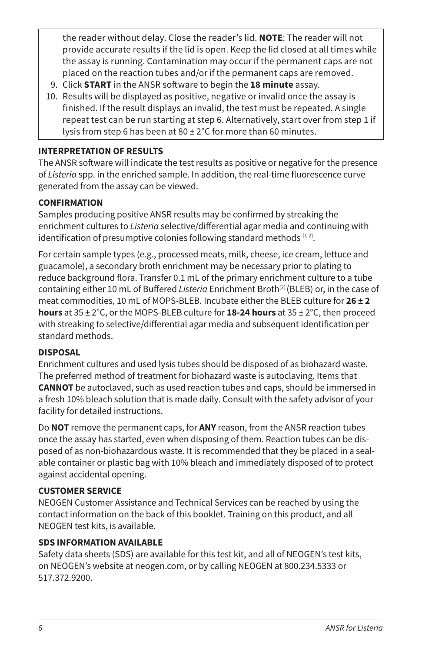the reader without delay. Close the reader's lid. **NOTE**: The reader will not provide accurate results if the lid is open. Keep the lid closed at all times while the assay is running. Contamination may occur if the permanent caps are not placed on the reaction tubes and/or if the permanent caps are removed.

- 9. Click **START** in the ANSR software to begin the **18 minute** assay.
- 10. Results will be displayed as positive, negative or invalid once the assay is finished. If the result displays an invalid, the test must be repeated. A single repeat test can be run starting at step 6. Alternatively, start over from step 1 if lysis from step 6 has been at  $80 \pm 2^{\circ}$ C for more than 60 minutes.

### **INTERPRETATION OF RESULTS**

The ANSR software will indicate the test results as positive or negative for the presence of *Listeria* spp. in the enriched sample. In addition, the real-time fluorescence curve generated from the assay can be viewed.

### **CONFIRMATION**

Samples producing positive ANSR results may be confirmed by streaking the enrichment cultures to *Listeria* selective/differential agar media and continuing with identification of presumptive colonies following standard methods [1,2].

For certain sample types (e.g., processed meats, milk, cheese, ice cream, lettuce and guacamole), a secondary broth enrichment may be necessary prior to plating to reduce background flora. Transfer 0.1 mL of the primary enrichment culture to a tube containing either 10 mL of Buffered *Listeria* Enrichment Broth<sup>[2]</sup> (BLEB) or, in the case of meat commodities, 10 mL of MOPS-BLEB. Incubate either the BLEB culture for **26 ± 2 hours** at 35 ± 2°C, or the MOPS-BLEB culture for **18-24 hours** at 35 ± 2°C, then proceed with streaking to selective/differential agar media and subsequent identification per standard methods.

### **DISPOSAL**

Enrichment cultures and used lysis tubes should be disposed of as biohazard waste. The preferred method of treatment for biohazard waste is autoclaving. Items that **CANNOT** be autoclaved, such as used reaction tubes and caps, should be immersed in a fresh 10% bleach solution that is made daily. Consult with the safety advisor of your facility for detailed instructions.

Do **NOT** remove the permanent caps, for **ANY** reason, from the ANSR reaction tubes once the assay has started, even when disposing of them. Reaction tubes can be disposed of as non-biohazardous waste. It is recommended that they be placed in a sealable container or plastic bag with 10% bleach and immediately disposed of to protect against accidental opening.

### **CUSTOMER SERVICE**

NEOGEN Customer Assistance and Technical Services can be reached by using the contact information on the back of this booklet. Training on this product, and all NEOGEN test kits, is available.

### **SDS INFORMATION AVAILABLE**

Safety data sheets (SDS) are available for this test kit, and all of NEOGEN's test kits, on NEOGEN's website at neogen.com, or by calling NEOGEN at 800.234.5333 or 517.372.9200.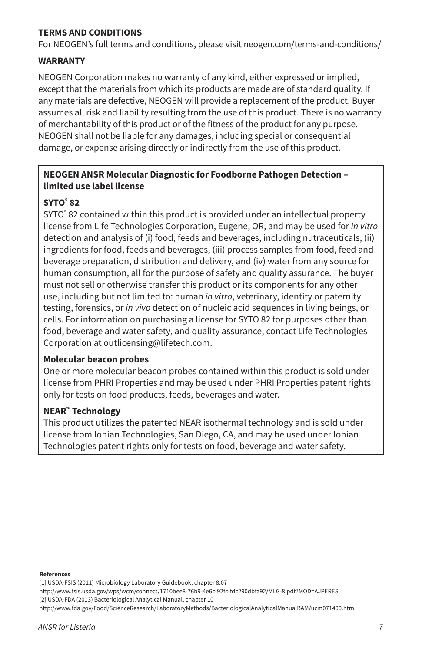### **TERMS AND CONDITIONS**

For NEOGEN's full terms and conditions, please visit neogen.com/terms-and-conditions/

### **WARRANTY**

NEOGEN Corporation makes no warranty of any kind, either expressed or implied, except that the materials from which its products are made are of standard quality. If any materials are defective, NEOGEN will provide a replacement of the product. Buyer assumes all risk and liability resulting from the use of this product. There is no warranty of merchantability of this product or of the fitness of the product for any purpose. NEOGEN shall not be liable for any damages, including special or consequential damage, or expense arising directly or indirectly from the use of this product.

### **NEOGEN ANSR Molecular Diagnostic for Foodborne Pathogen Detection – limited use label license**

### **SYTO® 82**

SYTO<sup>®</sup> 82 contained within this product is provided under an intellectual property license from Life Technologies Corporation, Eugene, OR, and may be used for *in vitro*  detection and analysis of (i) food, feeds and beverages, including nutraceuticals, (ii) ingredients for food, feeds and beverages, (iii) process samples from food, feed and beverage preparation, distribution and delivery, and (iv) water from any source for human consumption, all for the purpose of safety and quality assurance. The buyer must not sell or otherwise transfer this product or its components for any other use, including but not limited to: human *in vitro*, veterinary, identity or paternity testing, forensics, or *in vivo* detection of nucleic acid sequences in living beings, or cells. For information on purchasing a license for SYTO 82 for purposes other than food, beverage and water safety, and quality assurance, contact Life Technologies Corporation at outlicensing@lifetech.com.

### **Molecular beacon probes**

One or more molecular beacon probes contained within this product is sold under license from PHRI Properties and may be used under PHRI Properties patent rights only for tests on food products, feeds, beverages and water.

### **NEAR™ Technology**

This product utilizes the patented NEAR isothermal technology and is sold under license from Ionian Technologies, San Diego, CA, and may be used under Ionian Technologies patent rights only for tests on food, beverage and water safety.

#### **References**

[1] USDA-FSIS (2011) Microbiology Laboratory Guidebook, chapter 8.07

http://www.fsis.usda.gov/wps/wcm/connect/1710bee8-76b9-4e6c-92fc-fdc290dbfa92/MLG-8.pdf?MOD=AJPERES

[2] USDA-FDA (2013) Bacteriological Analytical Manual, chapter 10

http://www.fda.gov/Food/ScienceResearch/LaboratoryMethods/BacteriologicalAnalyticalManualBAM/ucm071400.htm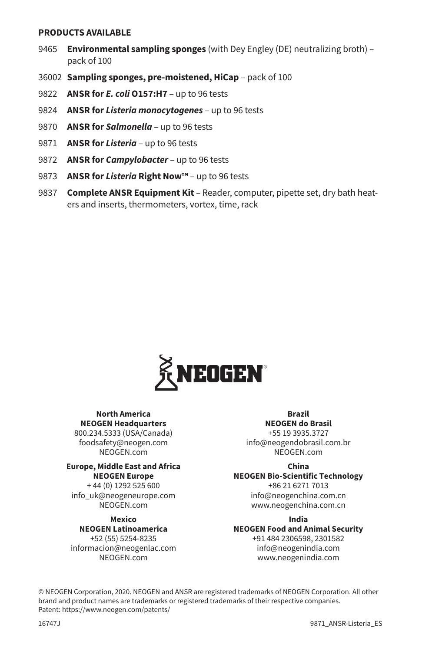#### **PRODUCTS AVAILABLE**

- 9465 **Environmental sampling sponges** (with Dey Engley (DE) neutralizing broth) pack of 100
- 36002 **Sampling sponges, pre-moistened, HiCap** pack of 100
- 9822 **ANSR for** *E. coli* **O157:H7** up to 96 tests
- 9824 **ANSR for** *Listeria monocytogenes* up to 96 tests
- 9870 **ANSR for** *Salmonella* up to 96 tests
- 9871 **ANSR for** *Listeria* up to 96 tests
- 9872 **ANSR for** *Campylobacter* up to 96 tests
- 9873 **ANSR for** *Listeria* **Right Now™**  up to 96 tests
- 9837 **Complete ANSR Equipment Kit** Reader, computer, pipette set, dry bath heaters and inserts, thermometers, vortex, time, rack



#### **North America NEOGEN Headquarters**

800.234.5333 (USA/Canada) foodsafety@neogen.com NEOGEN.com

#### **Europe, Middle East and Africa NEOGEN Europe**

+ 44 (0) 1292 525 600 info\_uk@neogeneurope.com NEOGEN.com

#### **Mexico**

**NEOGEN Latinoamerica** +52 (55) 5254-8235 informacion@neogenlac.com NEOGEN.com

### **Brazil NEOGEN do Brasil**

+55 19 3935.3727 info@neogendobrasil.com.br NEOGEN.com

#### **China**

**NEOGEN Bio-Scientific Technology** +86 21 6271 7013 info@neogenchina.com.cn www.neogenchina.com.cn

#### **India NEOGEN Food and Animal Security** +91 484 2306598, 2301582 info@neogenindia.com www.neogenindia.com

© NEOGEN Corporation, 2020. NEOGEN and ANSR are registered trademarks of NEOGEN Corporation. All other brand and product names are trademarks or registered trademarks of their respective companies. Patent: https://www.neogen.com/patents/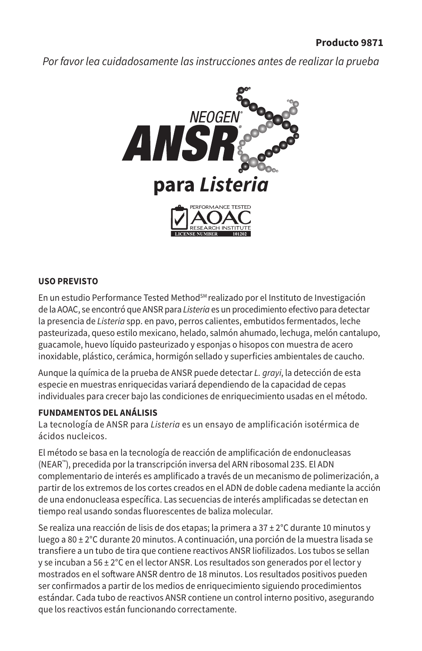*Por favor lea cuidadosamente las instrucciones antes de realizar la prueba*



### **USO PREVISTO**

En un estudio Performance Tested Method<sup>sM</sup> realizado por el Instituto de Investigación de la AOAC, se encontró que ANSR para *Listeria* es un procedimiento efectivo para detectar la presencia de *Listeria* spp. en pavo, perros calientes, embutidos fermentados, leche pasteurizada, queso estilo mexicano, helado, salmón ahumado, lechuga, melón cantalupo, guacamole, huevo líquido pasteurizado y esponjas o hisopos con muestra de acero inoxidable, plástico, cerámica, hormigón sellado y superficies ambientales de caucho.

Aunque la química de la prueba de ANSR puede detectar *L. grayi*, la detección de esta especie en muestras enriquecidas variará dependiendo de la capacidad de cepas individuales para crecer bajo las condiciones de enriquecimiento usadas en el método.

### **FUNDAMENTOS DEL ANÁLISIS**

La tecnología de ANSR para *Listeria* es un ensayo de amplificación isotérmica de ácidos nucleicos.

El método se basa en la tecnología de reacción de amplificación de endonucleasas (NEAR™), precedida por la transcripción inversa del ARN ribosomal 23S. El ADN complementario de interés es amplificado a través de un mecanismo de polimerización, a partir de los extremos de los cortes creados en el ADN de doble cadena mediante la acción de una endonucleasa específica. Las secuencias de interés amplificadas se detectan en tiempo real usando sondas fluorescentes de baliza molecular.

Se realiza una reacción de lisis de dos etapas; la primera a  $37 \pm 2^{\circ}$ C durante 10 minutos y luego a 80 ± 2°C durante 20 minutos. A continuación, una porción de la muestra lisada se transfiere a un tubo de tira que contiene reactivos ANSR liofilizados. Los tubos se sellan y se incuban a 56  $\pm 2^{\circ}$ C en el lector ANSR. Los resultados son generados por el lector y mostrados en el software ANSR dentro de 18 minutos. Los resultados positivos pueden ser confirmados a partir de los medios de enriquecimiento siguiendo procedimientos estándar. Cada tubo de reactivos ANSR contiene un control interno positivo, asegurando que los reactivos están funcionando correctamente.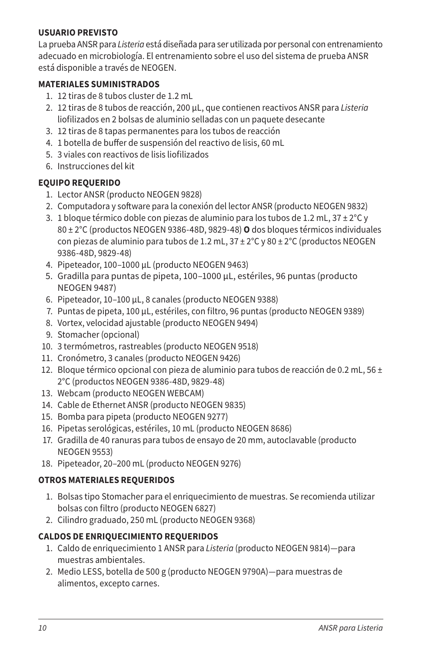# **USUARIO PREVISTO**

La prueba ANSR para *Listeria* está diseñada para ser utilizada por personal con entrenamiento adecuado en microbiología. El entrenamiento sobre el uso del sistema de prueba ANSR está disponible a través de NEOGEN.

# **MATERIALES SUMINISTRADOS**

- 1. 12 tiras de 8 tubos cluster de 1.2 mL
- 2. 12 tiras de 8 tubos de reacción, 200 µL, que contienen reactivos ANSR para *Listeria* liofilizados en 2 bolsas de aluminio selladas con un paquete desecante
- 3. 12 tiras de 8 tapas permanentes para los tubos de reacción
- 4. 1 botella de buffer de suspensión del reactivo de lisis, 60 mL
- 5. 3 viales con reactivos de lisis liofilizados
- 6. Instrucciones del kit

# **EQUIPO REQUERIDO**

- 1. Lector ANSR (producto NEOGEN 9828)
- 2. Computadora y software para la conexión del lector ANSR (producto NEOGEN 9832)
- 3. 1 bloque térmico doble con piezas de aluminio para los tubos de 1.2 mL,  $37 \pm 2^{\circ}$ C y 80 ± 2°C (productos NEOGEN 9386-48D, 9829-48) **O** dos bloques térmicos individuales con piezas de aluminio para tubos de 1.2 mL,  $37 \pm 2^{\circ}$ C y 80  $\pm$  2 $^{\circ}$ C (productos NEOGEN 9386-48D, 9829-48)
- 4. Pipeteador, 100–1000 µL (producto NEOGEN 9463)
- 5. Gradilla para puntas de pipeta, 100–1000 µL, estériles, 96 puntas (producto NEOGEN 9487)
- 6. Pipeteador, 10–100 µL, 8 canales (producto NEOGEN 9388)
- 7. Puntas de pipeta, 100 µL, estériles, con filtro, 96 puntas (producto NEOGEN 9389)
- 8. Vortex, velocidad ajustable (producto NEOGEN 9494)
- 9. Stomacher (opcional)
- 10. 3 termómetros, rastreables (producto NEOGEN 9518)
- 11. Cronómetro, 3 canales (producto NEOGEN 9426)
- 12. Bloque térmico opcional con pieza de aluminio para tubos de reacción de 0.2 mL, 56  $\pm$ 2°C (productos NEOGEN 9386-48D, 9829-48)
- 13. Webcam (producto NEOGEN WEBCAM)
- 14. Cable de Ethernet ANSR (producto NEOGEN 9835)
- 15. Bomba para pipeta (producto NEOGEN 9277)
- 16. Pipetas serológicas, estériles, 10 mL (producto NEOGEN 8686)
- 17. Gradilla de 40 ranuras para tubos de ensayo de 20 mm, autoclavable (producto NEOGEN 9553)
- 18. Pipeteador, 20–200 mL (producto NEOGEN 9276)

# **OTROS MATERIALES REQUERIDOS**

- 1. Bolsas tipo Stomacher para el enriquecimiento de muestras. Se recomienda utilizar bolsas con filtro (producto NEOGEN 6827)
- 2. Cilindro graduado, 250 mL (producto NEOGEN 9368)

# **CALDOS DE ENRIQUECIMIENTO REQUERIDOS**

- 1. Caldo de enriquecimiento 1 ANSR para *Listeria* (producto NEOGEN 9814)—para muestras ambientales.
- 2. Medio LESS, botella de 500 g (producto NEOGEN 9790A)—para muestras de alimentos, excepto carnes.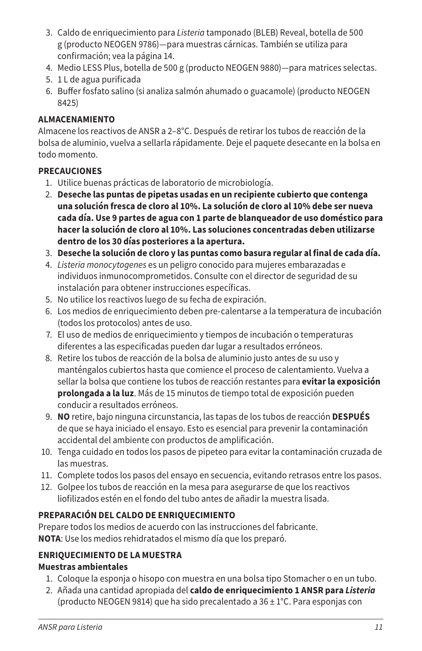- 3. Caldo de enriquecimiento para *Listeria* tamponado (BLEB) Reveal, botella de 500 g (producto NEOGEN 9786)—para muestras cárnicas. También se utiliza para confirmación; vea la página 14.
- 4. Medio LESS Plus, botella de 500 g (producto NEOGEN 9880)—para matrices selectas.
- 5. 1 L de agua purificada
- 6. Buffer fosfato salino (si analiza salmón ahumado o guacamole) (producto NEOGEN 8425)

# **ALMACENAMIENTO**

Almacene los reactivos de ANSR a 2–8°C. Después de retirar los tubos de reacción de la bolsa de aluminio, vuelva a sellarla rápidamente. Deje el paquete desecante en la bolsa en todo momento.

# **PRECAUCIONES**

- 1. Utilice buenas prácticas de laboratorio de microbiología.
- 2. **Deseche las puntas de pipetas usadas en un recipiente cubierto que contenga una solución fresca de cloro al 10%. La solución de cloro al 10% debe ser nueva cada día. Use 9 partes de agua con 1 parte de blanqueador de uso doméstico para hacer la solución de cloro al 10%. Las soluciones concentradas deben utilizarse dentro de los 30 días posteriores a la apertura.**
- 3. **Deseche la solución de cloro y las puntas como basura regular al final de cada día.**
- 4. *Listeria monocytogenes* es un peligro conocido para mujeres embarazadas e individuos inmunocomprometidos. Consulte con el director de seguridad de su instalación para obtener instrucciones específicas.
- 5. No utilice los reactivos luego de su fecha de expiración.
- 6. Los medios de enriquecimiento deben pre-calentarse a la temperatura de incubación (todos los protocolos) antes de uso.
- 7. El uso de medios de enriquecimiento y tiempos de incubación o temperaturas diferentes a las especificadas pueden dar lugar a resultados erróneos.
- 8. Retire los tubos de reacción de la bolsa de aluminio justo antes de su uso y manténgalos cubiertos hasta que comience el proceso de calentamiento. Vuelva a sellar la bolsa que contiene los tubos de reacción restantes para **evitar la exposición prolongada a la luz**. Más de 15 minutos de tiempo total de exposición pueden conducir a resultados erróneos.
- 9. **NO** retire, bajo ninguna circunstancia, las tapas de los tubos de reacción **DESPUÉS** de que se haya iniciado el ensayo. Esto es esencial para prevenir la contaminación accidental del ambiente con productos de amplificación.
- 10. Tenga cuidado en todos los pasos de pipeteo para evitar la contaminación cruzada de las muestras.
- 11. Complete todos los pasos del ensayo en secuencia, evitando retrasos entre los pasos.
- 12. Golpee los tubos de reacción en la mesa para asegurarse de que los reactivos liofilizados estén en el fondo del tubo antes de añadir la muestra lisada.

# **PREPARACIÓN DEL CALDO DE ENRIQUECIMIENTO**

Prepare todos los medios de acuerdo con las instrucciones del fabricante. **NOTA**: Use los medios rehidratados el mismo día que los preparó.

# **ENRIQUECIMIENTO DE LA MUESTRA Muestras ambientales**

- 1. Coloque la esponja o hisopo con muestra en una bolsa tipo Stomacher o en un tubo.
- 2. Añada una cantidad apropiada del **caldo de enriquecimiento 1 ANSR para** *Listeria* (producto NEOGEN 9814) que ha sido precalentado a 36 ± 1°C. Para esponjas con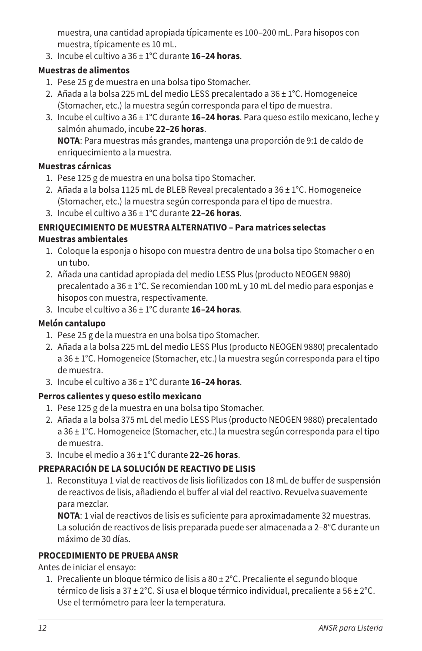muestra, una cantidad apropiada típicamente es 100–200 mL. Para hisopos con muestra, típicamente es 10 mL.

3. Incube el cultivo a 36 ± 1°C durante **16–24 horas**.

# **Muestras de alimentos**

- 1. Pese 25 g de muestra en una bolsa tipo Stomacher.
- 2. Añada a la bolsa 225 mL del medio LESS precalentado a 36 ± 1°C. Homogeneice (Stomacher, etc.) la muestra según corresponda para el tipo de muestra.
- 3. Incube el cultivo a 36 ± 1°C durante **16–24 horas**. Para queso estilo mexicano, leche y salmón ahumado, incube **22–26 horas**. **NOTA**: Para muestras más grandes, mantenga una proporción de 9:1 de caldo de

enriquecimiento a la muestra.

# **Muestras cárnicas**

- 1. Pese 125 g de muestra en una bolsa tipo Stomacher.
- 2. Añada a la bolsa 1125 mL de BLEB Reveal precalentado a 36 ± 1°C. Homogeneice (Stomacher, etc.) la muestra según corresponda para el tipo de muestra.
- 3. Incube el cultivo a 36 ± 1°C durante **22–26 horas**.

# **ENRIQUECIMIENTO DE MUESTRA ALTERNATIVO – Para matrices selectas Muestras ambientales**

- 1. Coloque la esponja o hisopo con muestra dentro de una bolsa tipo Stomacher o en un tubo.
- 2. Añada una cantidad apropiada del medio LESS Plus (producto NEOGEN 9880) precalentado a 36 ± 1°C. Se recomiendan 100 mL y 10 mL del medio para esponjas e hisopos con muestra, respectivamente.
- 3. Incube el cultivo a 36 ± 1°C durante **16–24 horas**.

# **Melón cantalupo**

- 1. Pese 25 g de la muestra en una bolsa tipo Stomacher.
- 2. Añada a la bolsa 225 mL del medio LESS Plus (producto NEOGEN 9880) precalentado a 36 ± 1°C. Homogeneice (Stomacher, etc.) la muestra según corresponda para el tipo de muestra.
- 3. Incube el cultivo a 36 ± 1°C durante **16–24 horas**.

# **Perros calientes y queso estilo mexicano**

- 1. Pese 125 g de la muestra en una bolsa tipo Stomacher.
- 2. Añada a la bolsa 375 mL del medio LESS Plus (producto NEOGEN 9880) precalentado a 36 ± 1°C. Homogeneice (Stomacher, etc.) la muestra según corresponda para el tipo de muestra.
- 3. Incube el medio a 36 ± 1°C durante **22–26 horas**.

# **PREPARACIÓN DE LA SOLUCIÓN DE REACTIVO DE LISIS**

1. Reconstituya 1 vial de reactivos de lisis liofilizados con 18 mL de buffer de suspensión de reactivos de lisis, añadiendo el buffer al vial del reactivo. Revuelva suavemente para mezclar.

**NOTA**: 1 vial de reactivos de lisis es suficiente para aproximadamente 32 muestras. La solución de reactivos de lisis preparada puede ser almacenada a 2–8°C durante un máximo de 30 días.

# **PROCEDIMIENTO DE PRUEBA ANSR**

Antes de iniciar el ensayo:

1. Precaliente un bloque térmico de lisis a 80 ± 2°C. Precaliente el segundo bloque térmico de lisis a 37 ± 2°C. Si usa el bloque térmico individual, precaliente a 56 ± 2°C. Use el termómetro para leer la temperatura.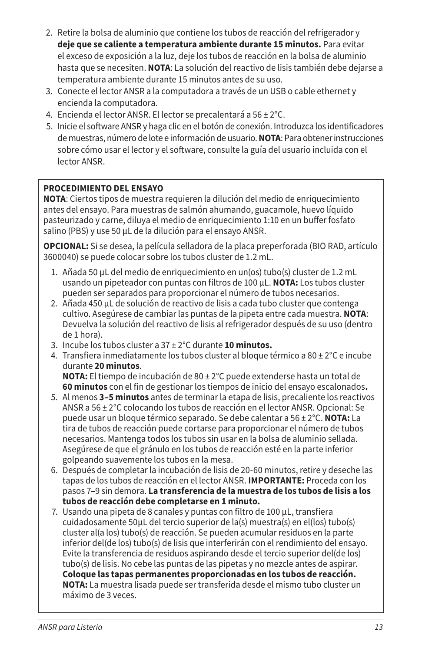- 2. Retire la bolsa de aluminio que contiene los tubos de reacción del refrigerador y **deje que se caliente a temperatura ambiente durante 15 minutos.** Para evitar el exceso de exposición a la luz, deje los tubos de reacción en la bolsa de aluminio hasta que se necesiten. **NOTA**: La solución del reactivo de lisis también debe dejarse a temperatura ambiente durante 15 minutos antes de su uso.
- 3. Conecte el lector ANSR a la computadora a través de un USB o cable ethernet y encienda la computadora.
- 4. Encienda el lector ANSR. El lector se precalentará a 56 ± 2°C.
- 5. Inicie el software ANSR y haga clic en el botón de conexión. Introduzca los identificadores de muestras, número de lote e información de usuario. **NOTA**: Para obtener instrucciones sobre cómo usar el lector y el software, consulte la guía del usuario incluida con el lector ANSR.

# **PROCEDIMIENTO DEL ENSAYO**

**NOTA**: Ciertos tipos de muestra requieren la dilución del medio de enriquecimiento antes del ensayo. Para muestras de salmón ahumando, guacamole, huevo líquido pasteurizado y carne, diluya el medio de enriquecimiento 1:10 en un buffer fosfato salino (PBS) y use 50 µL de la dilución para el ensayo ANSR.

**OPCIONAL:** Si se desea, la película selladora de la placa preperforada (BIO RAD, artículo 3600040) se puede colocar sobre los tubos cluster de 1.2 mL.

- 1. Añada 50 µL del medio de enriquecimiento en un(os) tubo(s) cluster de 1.2 mL usando un pipeteador con puntas con filtros de 100 µL. **NOTA:** Los tubos cluster pueden ser separados para proporcionar el número de tubos necesarios.
- 2. Añada 450 µL de solución de reactivo de lisis a cada tubo cluster que contenga cultivo. Asegúrese de cambiar las puntas de la pipeta entre cada muestra. **NOTA**: Devuelva la solución del reactivo de lisis al refrigerador después de su uso (dentro de 1 hora).
- 3. Incube los tubos cluster a 37 ± 2°C durante **10 minutos.**
- 4. Transfiera inmediatamente los tubos cluster al bloque térmico a  $80 \pm 2^{\circ}$ C e incube durante **20 minutos**.

**NOTA:** El tiempo de incubación de 80 ± 2°C puede extenderse hasta un total de **60 minutos** con el fin de gestionar los tiempos de inicio del ensayo escalonados**.**

- 5. Al menos **3–5 minutos** antes de terminar la etapa de lisis, precaliente los reactivos ANSR a 56 ± 2°C colocando los tubos de reacción en el lector ANSR. Opcional: Se puede usar un bloque térmico separado. Se debe calentar a 56 ± 2°C. **NOTA:** La tira de tubos de reacción puede cortarse para proporcionar el número de tubos necesarios. Mantenga todos los tubos sin usar en la bolsa de aluminio sellada. Asegúrese de que el gránulo en los tubos de reacción esté en la parte inferior golpeando suavemente los tubos en la mesa.
- 6. Después de completar la incubación de lisis de 20-60 minutos, retire y deseche las tapas de los tubos de reacción en el lector ANSR. **IMPORTANTE:** Proceda con los pasos 7–9 sin demora. **La transferencia de la muestra de los tubos de lisis a los tubos de reacción debe completarse en 1 minuto.**
- 7. Usando una pipeta de 8 canales y puntas con filtro de 100 μL, transfiera cuidadosamente 50μL del tercio superior de la(s) muestra(s) en el(los) tubo(s) cluster al(a los) tubo(s) de reacción. Se pueden acumular residuos en la parte inferior del(de los) tubo(s) de lisis que interferirán con el rendimiento del ensayo. Evite la transferencia de residuos aspirando desde el tercio superior del(de los) tubo(s) de lisis. No cebe las puntas de las pipetas y no mezcle antes de aspirar. **Coloque las tapas permanentes proporcionadas en los tubos de reacción. NOTA:** La muestra lisada puede ser transferida desde el mismo tubo cluster un máximo de 3 veces.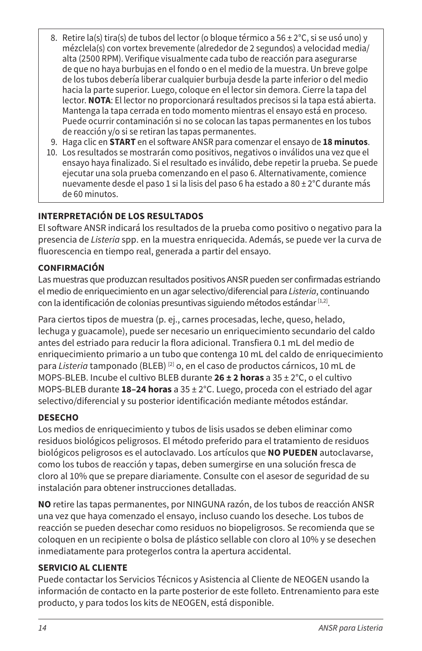- 8. Retire la(s) tira(s) de tubos del lector (o bloque térmico a 56 ± 2°C, si se usó uno) y mézclela(s) con vortex brevemente (alrededor de 2 segundos) a velocidad media/ alta (2500 RPM). Verifique visualmente cada tubo de reacción para asegurarse de que no haya burbujas en el fondo o en el medio de la muestra. Un breve golpe de los tubos debería liberar cualquier burbuja desde la parte inferior o del medio hacia la parte superior. Luego, coloque en el lector sin demora. Cierre la tapa del lector. **NOTA**: El lector no proporcionará resultados precisos si la tapa está abierta. Mantenga la tapa cerrada en todo momento mientras el ensayo está en proceso. Puede ocurrir contaminación si no se colocan las tapas permanentes en los tubos de reacción y/o si se retiran las tapas permanentes.
- 9. Haga clic en **START** en el software ANSR para comenzar el ensayo de **18 minutos**.
- 10. Los resultados se mostrarán como positivos, negativos o inválidos una vez que el ensayo haya finalizado. Si el resultado es inválido, debe repetir la prueba. Se puede ejecutar una sola prueba comenzando en el paso 6. Alternativamente, comience nuevamente desde el paso 1 si la lisis del paso 6 ha estado a 80 ± 2°C durante más de 60 minutos.

# **INTERPRETACIÓN DE LOS RESULTADOS**

El software ANSR indicará los resultados de la prueba como positivo o negativo para la presencia de *Listeria* spp. en la muestra enriquecida. Además, se puede ver la curva de fluorescencia en tiempo real, generada a partir del ensayo.

### **CONFIRMACIÓN**

Las muestras que produzcan resultados positivos ANSR pueden ser confirmadas estriando el medio de enriquecimiento en un agar selectivo/diferencial para *Listeria*, continuando con la identificación de colonias presuntivas siguiendo métodos estándar [1,2].

Para ciertos tipos de muestra (p. ej., carnes procesadas, leche, queso, helado, lechuga y guacamole), puede ser necesario un enriquecimiento secundario del caldo antes del estriado para reducir la flora adicional. Transfiera 0.1 mL del medio de enriquecimiento primario a un tubo que contenga 10 mL del caldo de enriquecimiento para *Listeria* tamponado (BLEB) [2] o, en el caso de productos cárnicos, 10 mL de MOPS-BLEB. Incube el cultivo BLEB durante **26 ± 2 horas** a 35 ± 2°C, o el cultivo MOPS-BLEB durante **18–24 horas** a 35 ± 2°C. Luego, proceda con el estriado del agar selectivo/diferencial y su posterior identificación mediante métodos estándar.

### **DESECHO**

Los medios de enriquecimiento y tubos de lisis usados se deben eliminar como residuos biológicos peligrosos. El método preferido para el tratamiento de residuos biológicos peligrosos es el autoclavado. Los artículos que **NO PUEDEN** autoclavarse, como los tubos de reacción y tapas, deben sumergirse en una solución fresca de cloro al 10% que se prepare diariamente. Consulte con el asesor de seguridad de su instalación para obtener instrucciones detalladas.

**NO** retire las tapas permanentes, por NINGUNA razón, de los tubos de reacción ANSR una vez que haya comenzado el ensayo, incluso cuando los deseche. Los tubos de reacción se pueden desechar como residuos no biopeligrosos. Se recomienda que se coloquen en un recipiente o bolsa de plástico sellable con cloro al 10% y se desechen inmediatamente para protegerlos contra la apertura accidental.

# **SERVICIO AL CLIENTE**

Puede contactar los Servicios Técnicos y Asistencia al Cliente de NEOGEN usando la información de contacto en la parte posterior de este folleto. Entrenamiento para este producto, y para todos los kits de NEOGEN, está disponible.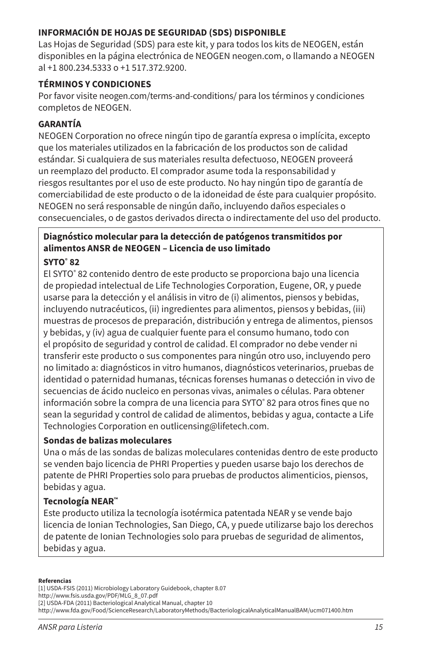### **INFORMACIÓN DE HOJAS DE SEGURIDAD (SDS) DISPONIBLE**

Las Hojas de Seguridad (SDS) para este kit, y para todos los kits de NEOGEN, están disponibles en la página electrónica de NEOGEN neogen.com, o llamando a NEOGEN al +1 800.234.5333 o +1 517.372.9200.

### **TÉRMINOS Y CONDICIONES**

Por favor visite neogen.com/terms-and-conditions/ para los términos y condiciones completos de NEOGEN.

### **GARANTÍA**

NEOGEN Corporation no ofrece ningún tipo de garantía expresa o implícita, excepto que los materiales utilizados en la fabricación de los productos son de calidad estándar. Si cualquiera de sus materiales resulta defectuoso, NEOGEN proveerá un reemplazo del producto. El comprador asume toda la responsabilidad y riesgos resultantes por el uso de este producto. No hay ningún tipo de garantía de comerciabilidad de este producto o de la idoneidad de éste para cualquier propósito. NEOGEN no será responsable de ningún daño, incluyendo daños especiales o consecuenciales, o de gastos derivados directa o indirectamente del uso del producto.

# **Diagnóstico molecular para la detección de patógenos transmitidos por alimentos ANSR de NEOGEN – Licencia de uso limitado**

### **SYTO® 82**

El SYTO® 82 contenido dentro de este producto se proporciona bajo una licencia de propiedad intelectual de Life Technologies Corporation, Eugene, OR, y puede usarse para la detección y el análisis in vitro de (i) alimentos, piensos y bebidas, incluyendo nutracéuticos, (ii) ingredientes para alimentos, piensos y bebidas, (iii) muestras de procesos de preparación, distribución y entrega de alimentos, piensos y bebidas, y (iv) agua de cualquier fuente para el consumo humano, todo con el propósito de seguridad y control de calidad. El comprador no debe vender ni transferir este producto o sus componentes para ningún otro uso, incluyendo pero no limitado a: diagnósticos in vitro humanos, diagnósticos veterinarios, pruebas de identidad o paternidad humanas, técnicas forenses humanas o detección in vivo de secuencias de ácido nucleico en personas vivas, animales o células. Para obtener información sobre la compra de una licencia para SYTO® 82 para otros fines que no sean la seguridad y control de calidad de alimentos, bebidas y agua, contacte a Life Technologies Corporation en outlicensing@lifetech.com.

### **Sondas de balizas moleculares**

Una o más de las sondas de balizas moleculares contenidas dentro de este producto se venden bajo licencia de PHRI Properties y pueden usarse bajo los derechos de patente de PHRI Properties solo para pruebas de productos alimenticios, piensos, bebidas y agua.

# **Tecnología NEAR™**

Este producto utiliza la tecnología isotérmica patentada NEAR y se vende bajo licencia de Ionian Technologies, San Diego, CA, y puede utilizarse bajo los derechos de patente de Ionian Technologies solo para pruebas de seguridad de alimentos, bebidas y agua.

#### **Referencias**

[1] USDA-FSIS (2011) Microbiology Laboratory Guidebook, chapter 8.07 http://www.fsis.usda.gov/PDF/MLG\_8\_07.pdf [2] USDA-FDA (2011) Bacteriological Analytical Manual, chapter 10 http://www.fda.gov/Food/ScienceResearch/LaboratoryMethods/BacteriologicalAnalyticalManualBAM/ucm071400.htm